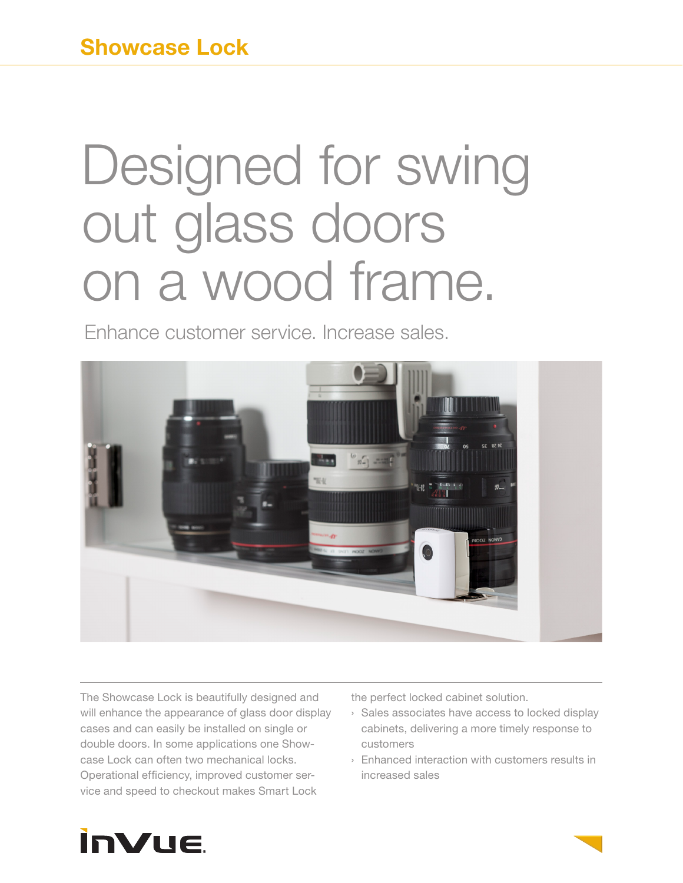# Designed for swing out glass doors on a wood frame.

Enhance customer service. Increase sales.



The Showcase Lock is beautifully designed and will enhance the appearance of glass door display cases and can easily be installed on single or double doors. In some applications one Showcase Lock can often two mechanical locks. Operational efficiency, improved customer service and speed to checkout makes Smart Lock

the perfect locked cabinet solution.

- › Sales associates have access to locked display cabinets, delivering a more timely response to customers
- › Enhanced interaction with customers results in increased sales

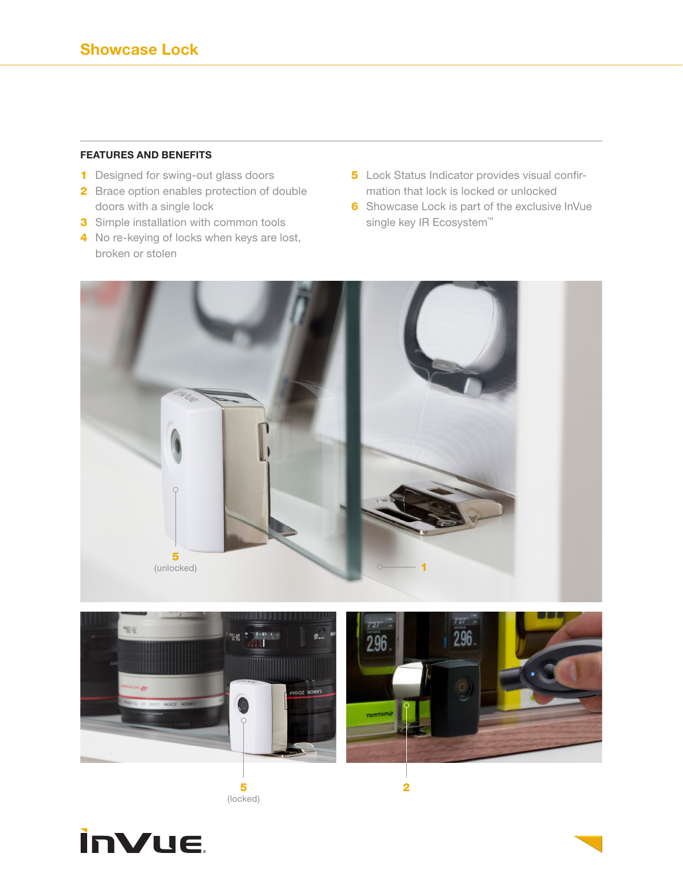#### **FEATURES AND BENEFITS**

- **1** Designed for swing-out glass doors
- 2 Brace option enables protection of double doors with a single lock
- **3** Simple installation with common tools
- 4 No re-keying of locks when keys are lost, broken or stolen
- 5 Lock Status Indicator provides visual confirmation that lock is locked or unlocked
- **6** Showcase Lock is part of the exclusive InVue single key IR Ecosystem™







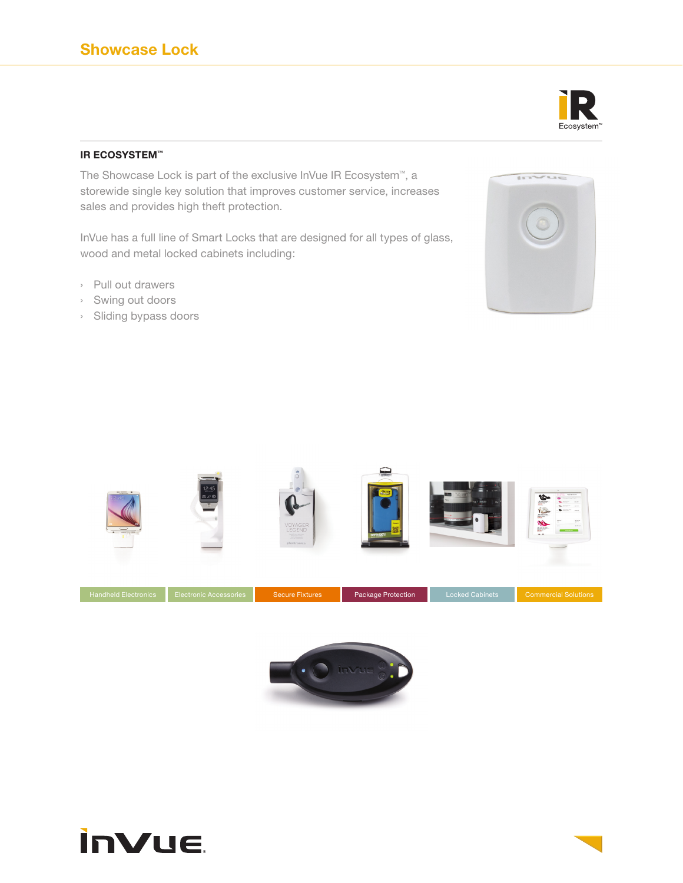## Ecosystem

#### **IR ECOSYSTEM™**

The Showcase Lock is part of the exclusive InVue IR Ecosystem™, a storewide single key solution that improves customer service, increases sales and provides high theft protection.

InVue has a full line of Smart Locks that are designed for all types of glass, wood and metal locked cabinets including:

- › Pull out drawers
- › Swing out doors
- › Sliding bypass doors







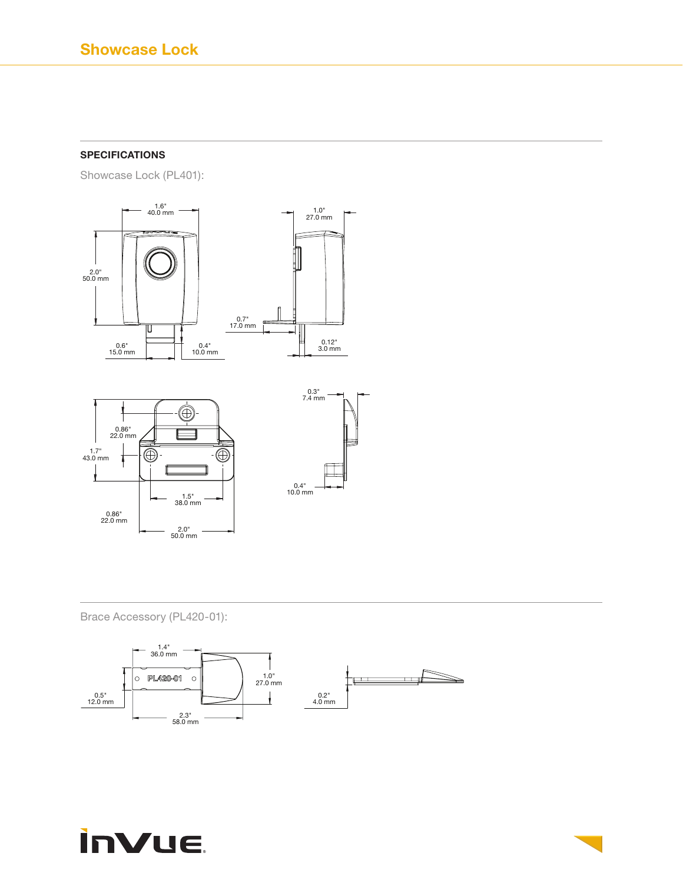### **SPECIFICATIONS**

Showcase Lock (PL401):



Brace Accessory (PL420-01):